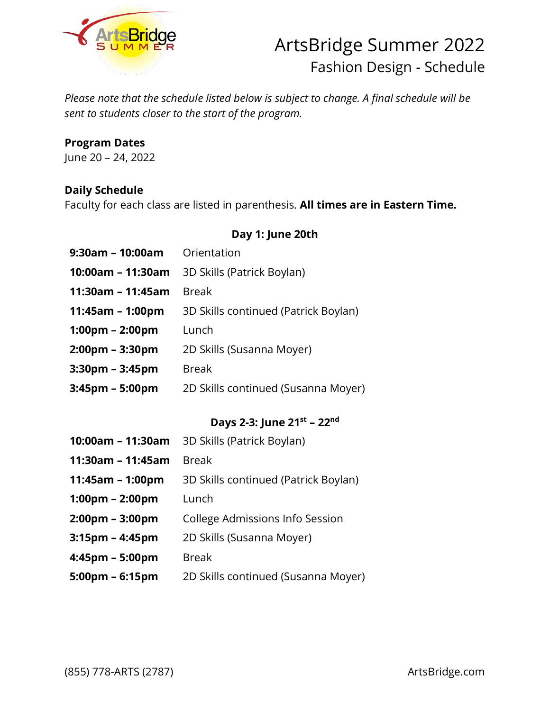

# ArtsBridge Summer 2022 Fashion Design - Schedule

*Please note that the schedule listed below is subject to change. A final schedule will be sent to students closer to the start of the program.*

### **Program Dates**

June 20 – 24, 2022

#### **Daily Schedule**

Faculty for each class are listed in parenthesis. **All times are in Eastern Time.**

#### **Day 1: June 20th**

- **9:30am – 10:00am** Orientation
- **10:00am – 11:30am** 3D Skills (Patrick Boylan)
- **11:30am – 11:45am** Break
- **11:45am – 1:00pm** 3D Skills continued (Patrick Boylan)
- **1:00pm – 2:00pm** Lunch
- **2:00pm – 3:30pm** 2D Skills (Susanna Moyer)
- **3:30pm – 3:45pm** Break
- **3:45pm – 5:00pm** 2D Skills continued (Susanna Moyer)

### **Days 2-3: June 21 st – 22nd**

| 10:00am - 11:30am                 | 3D Skills (Patrick Boylan)           |
|-----------------------------------|--------------------------------------|
| 11:30am – 11:45am                 | <b>Break</b>                         |
| 11:45am - 1:00pm                  | 3D Skills continued (Patrick Boylan) |
| $1:00 \text{pm} - 2:00 \text{pm}$ | Lunch                                |
| $2:00 \text{pm} - 3:00 \text{pm}$ | College Admissions Info Session      |
| 3:15pm – 4:45pm                   | 2D Skills (Susanna Moyer)            |
| 4:45pm – 5:00pm                   | <b>Break</b>                         |
| 5:00pm - 6:15pm                   | 2D Skills continued (Susanna Moyer)  |

(855) 778-ARTS (2787) ArtsBridge.com